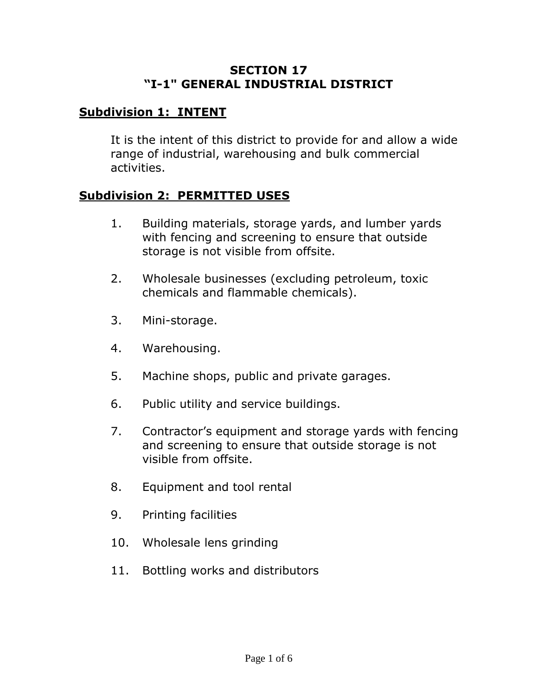### **SECTION 17 "I-1" GENERAL INDUSTRIAL DISTRICT**

## **Subdivision 1: INTENT**

It is the intent of this district to provide for and allow a wide range of industrial, warehousing and bulk commercial activities.

#### **Subdivision 2: PERMITTED USES**

- 1. Building materials, storage yards, and lumber yards with fencing and screening to ensure that outside storage is not visible from offsite.
- 2. Wholesale businesses (excluding petroleum, toxic chemicals and flammable chemicals).
- 3. Mini-storage.
- 4. Warehousing.
- 5. Machine shops, public and private garages.
- 6. Public utility and service buildings.
- 7. Contractor's equipment and storage yards with fencing and screening to ensure that outside storage is not visible from offsite.
- 8. Equipment and tool rental
- 9. Printing facilities
- 10. Wholesale lens grinding
- 11. Bottling works and distributors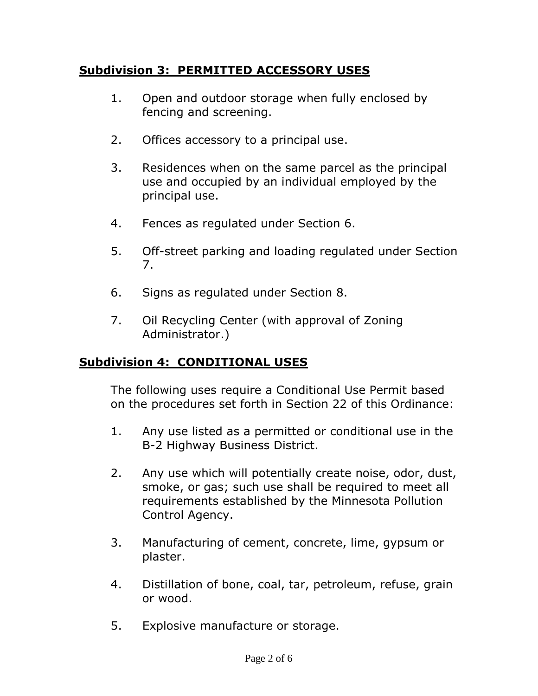# **Subdivision 3: PERMITTED ACCESSORY USES**

- 1. Open and outdoor storage when fully enclosed by fencing and screening.
- 2. Offices accessory to a principal use.
- 3. Residences when on the same parcel as the principal use and occupied by an individual employed by the principal use.
- 4. Fences as regulated under Section 6.
- 5. Off-street parking and loading regulated under Section 7.
- 6. Signs as regulated under Section 8.
- 7. Oil Recycling Center (with approval of Zoning Administrator.)

# **Subdivision 4: CONDITIONAL USES**

The following uses require a Conditional Use Permit based on the procedures set forth in Section 22 of this Ordinance:

- 1. Any use listed as a permitted or conditional use in the B-2 Highway Business District.
- 2. Any use which will potentially create noise, odor, dust, smoke, or gas; such use shall be required to meet all requirements established by the Minnesota Pollution Control Agency.
- 3. Manufacturing of cement, concrete, lime, gypsum or plaster.
- 4. Distillation of bone, coal, tar, petroleum, refuse, grain or wood.
- 5. Explosive manufacture or storage.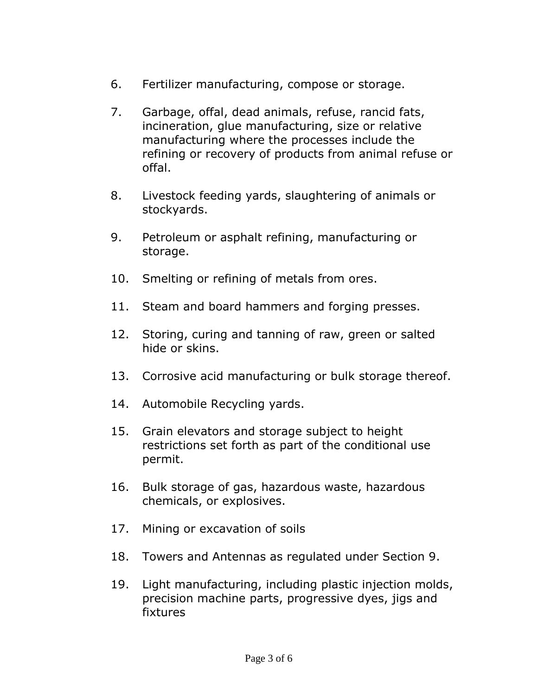- 6. Fertilizer manufacturing, compose or storage.
- 7. Garbage, offal, dead animals, refuse, rancid fats, incineration, glue manufacturing, size or relative manufacturing where the processes include the refining or recovery of products from animal refuse or offal.
- 8. Livestock feeding yards, slaughtering of animals or stockyards.
- 9. Petroleum or asphalt refining, manufacturing or storage.
- 10. Smelting or refining of metals from ores.
- 11. Steam and board hammers and forging presses.
- 12. Storing, curing and tanning of raw, green or salted hide or skins.
- 13. Corrosive acid manufacturing or bulk storage thereof.
- 14. Automobile Recycling yards.
- 15. Grain elevators and storage subject to height restrictions set forth as part of the conditional use permit.
- 16. Bulk storage of gas, hazardous waste, hazardous chemicals, or explosives.
- 17. Mining or excavation of soils
- 18. Towers and Antennas as regulated under Section 9.
- 19. Light manufacturing, including plastic injection molds, precision machine parts, progressive dyes, jigs and fixtures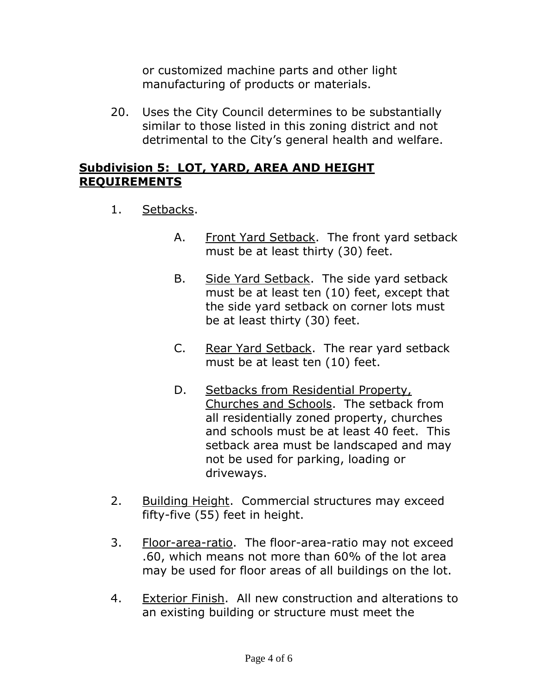or customized machine parts and other light manufacturing of products or materials.

20. Uses the City Council determines to be substantially similar to those listed in this zoning district and not detrimental to the City's general health and welfare.

### **Subdivision 5: LOT, YARD, AREA AND HEIGHT REQUIREMENTS**

- 1. Setbacks.
	- A. Front Yard Setback. The front yard setback must be at least thirty (30) feet.
	- B. Side Yard Setback. The side yard setback must be at least ten (10) feet, except that the side yard setback on corner lots must be at least thirty (30) feet.
	- C. Rear Yard Setback. The rear yard setback must be at least ten (10) feet.
	- D. Setbacks from Residential Property, Churches and Schools. The setback from all residentially zoned property, churches and schools must be at least 40 feet. This setback area must be landscaped and may not be used for parking, loading or driveways.
- 2. Building Height. Commercial structures may exceed fifty-five (55) feet in height.
- 3. Floor-area-ratio. The floor-area-ratio may not exceed .60, which means not more than 60% of the lot area may be used for floor areas of all buildings on the lot.
- 4. Exterior Finish. All new construction and alterations to an existing building or structure must meet the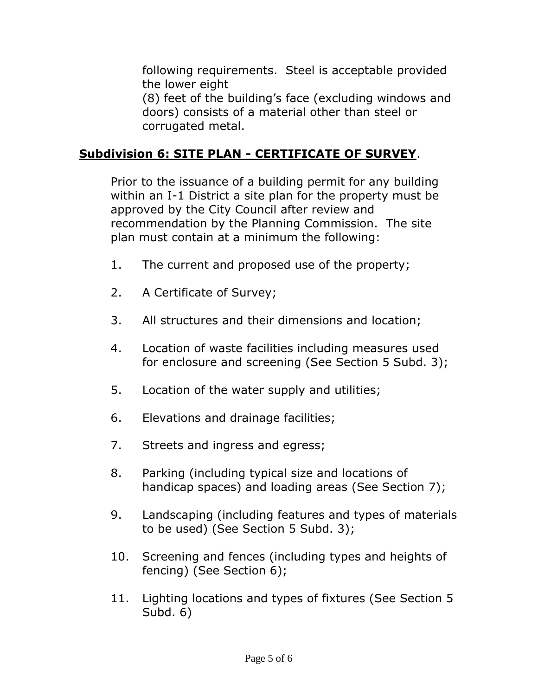following requirements. Steel is acceptable provided the lower eight

(8) feet of the building's face (excluding windows and doors) consists of a material other than steel or corrugated metal.

## **Subdivision 6: SITE PLAN - CERTIFICATE OF SURVEY**.

Prior to the issuance of a building permit for any building within an I-1 District a site plan for the property must be approved by the City Council after review and recommendation by the Planning Commission. The site plan must contain at a minimum the following:

- 1. The current and proposed use of the property;
- 2. A Certificate of Survey;
- 3. All structures and their dimensions and location;
- 4. Location of waste facilities including measures used for enclosure and screening (See Section 5 Subd. 3);
- 5. Location of the water supply and utilities;
- 6. Elevations and drainage facilities;
- 7. Streets and ingress and egress;
- 8. Parking (including typical size and locations of handicap spaces) and loading areas (See Section 7);
- 9. Landscaping (including features and types of materials to be used) (See Section 5 Subd. 3);
- 10. Screening and fences (including types and heights of fencing) (See Section 6);
- 11. Lighting locations and types of fixtures (See Section 5 Subd. 6)